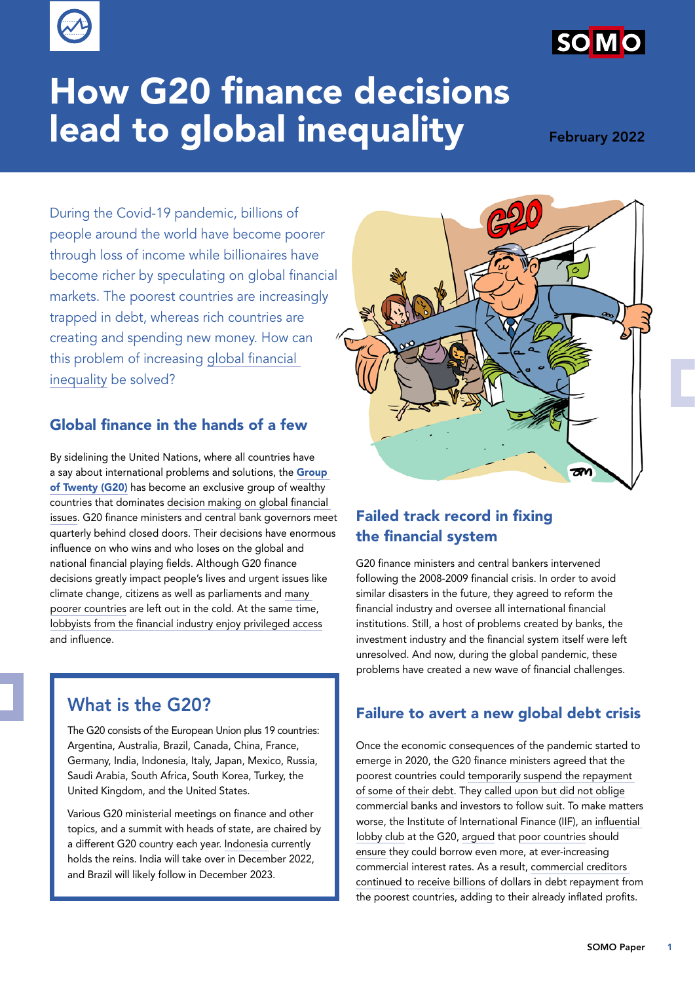

# How G20 finance decisions lead to global inequality February 2022

During the Covid-19 pandemic, billions of people around the world have become poorer through loss of income while billionaires have become richer by speculating on global financial markets. The poorest countries are increasingly trapped in debt, whereas rich countries are creating and spending new money. How can this problem of increasing [global financial](https://www.oxfam.org/en/5-shocking-facts-about-extreme-global-inequality-and-how-even-it)  [inequality](https://www.oxfam.org/en/5-shocking-facts-about-extreme-global-inequality-and-how-even-it) be solved?

## Global finance in the hands of a few

By sidelining the United Nations, where all countries have a say about international problems and solutions, the Group [of Twenty \(G20\)](https://g20.org/about-the-g20/) has become an exclusive group of wealthy countries that dominates [decision making on global financial](https://g20.org/finance-track/)  [issues](https://g20.org/finance-track/). G20 finance ministers and central bank governors meet quarterly behind closed doors. Their decisions have enormous influence on who wins and who loses on the global and national financial playing fields. Although G20 finance decisions greatly impact people's lives and urgent issues like climate change, citizens as well as parliaments and [many](https://www.g77.org/doc/)  [poorer countries](https://www.g77.org/doc/) are left out in the cold. At the same time, [lobbyists from the financial industry enjoy privileged access](https://www.somo.nl/will-the-g20-let-private-finance-escape-debt-relief-once-again/) and influence.

# What is the G20?

The G20 consists of the European Union plus 19 countries: Argentina, Australia, Brazil, Canada, China, France, Germany, India, Indonesia, Italy, Japan, Mexico, Russia, Saudi Arabia, South Africa, South Korea, Turkey, the United Kingdom, and the United States.

Various G20 ministerial meetings on finance and other topics, and a summit with heads of state, are chaired by a different G20 country each year. [Indonesia](https://g20.org/g20-presidency-of-indonesia/) currently holds the reins. India will take over in December 2022, and Brazil will likely follow in December 2023.



## Failed track record in fixing the financial system

G20 finance ministers and central bankers intervened following the 2008-2009 financial crisis. In order to avoid similar disasters in the future, they agreed to reform the financial industry and oversee all international financial institutions. Still, a host of problems created by banks, the investment industry and the financial system itself were left unresolved. And now, during the global pandemic, these problems have created a new wave of financial challenges.

#### Failure to avert a new global debt crisis

Once the economic consequences of the pandemic started to emerge in 2020, the G20 finance ministers agreed that the poorest countries could [temporarily suspend the repayment](https://www.worldbank.org/en/topic/debt/brief/covid-19-debt-service-suspension-initiative)  [of some of their debt.](https://www.worldbank.org/en/topic/debt/brief/covid-19-debt-service-suspension-initiative) They [called upon but did not oblige](https://www.somo.nl/why-the-iff-is-the-unlikely-to-help-poor-countries-with-debt-relief/) commercial banks and investors to follow suit. To make matters worse, the Institute of International Finance [\(IIF\)]( https://www.iif.com/), an [influential](https://www.somo.nl/why-the-iff-is-the-unlikely-to-help-poor-countries-with-debt-relief/)  [lobby club](https://www.somo.nl/why-the-iff-is-the-unlikely-to-help-poor-countries-with-debt-relief/) at the G20, [argued t](https://www.somo.nl/the-iif-debt-relief/)hat [poor countries](https://erlassjahr.de/wordpress/wp-content/uploads/2021/11/2110-FES-No-More-Loans.pdf) should [ensure](https://www.aston.ac.uk/sites/default/files/Research Report with Page Numbers-V2.pdf) they could borrow even more, at ever-increasing commercial interest rates. As a result, [commercial creditors](https://jubileedebt.org.uk/wp-content/uploads/2021/10/How-the-G20-debt-suspension-initiative-benefits-private-lenders_10.21.pdf)  [continued to receive billions](https://jubileedebt.org.uk/wp-content/uploads/2021/10/How-the-G20-debt-suspension-initiative-benefits-private-lenders_10.21.pdf) of dollars in debt repayment from the poorest countries, adding to their already inflated profits.